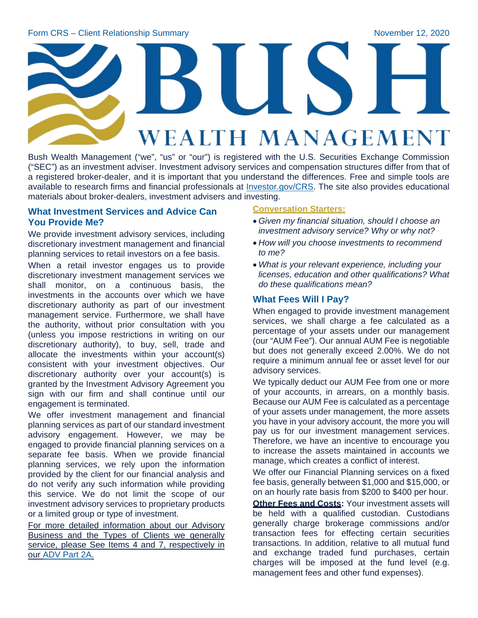# **WEALTH MANAGEMENT**

Bush Wealth Management ("we", "us" or "our") is registered with the U.S. Securities Exchange Commission ("SEC") as an investment adviser. Investment advisory services and compensation structures differ from that of a registered broker-dealer, and it is important that you understand the differences. Free and simple tools are available to research firms and financial professionals at [Investor.gov/CRS.](http://www.investor.gov/CRS) The site also provides educational materials about broker-dealers, investment advisers and investing.

## **What Investment Services and Advice Can You Provide Me?**

We provide investment advisory services, including discretionary investment management and financial planning services to retail investors on a fee basis.

When a retail investor engages us to provide discretionary investment management services we shall monitor, on a continuous basis, the investments in the accounts over which we have discretionary authority as part of our investment management service. Furthermore, we shall have the authority, without prior consultation with you (unless you impose restrictions in writing on our discretionary authority), to buy, sell, trade and allocate the investments within your account(s) consistent with your investment objectives. Our discretionary authority over your account(s) is granted by the Investment Advisory Agreement you sign with our firm and shall continue until our engagement is terminated.

We offer investment management and financial planning services as part of our standard investment advisory engagement. However, we may be engaged to provide financial planning services on a separate fee basis. When we provide financial planning services, we rely upon the information provided by the client for our financial analysis and do not verify any such information while providing this service. We do not limit the scope of our investment advisory services to proprietary products or a limited group or type of investment.

For more detailed information about our Advisory Business and the Types of Clients we generally service, please See Items 4 and 7, respectively in our [ADV Part 2A.](https://files.adviserinfo.sec.gov/IAPD/Content/Common/crd_iapd_Brochure.aspx?BRCHR_VRSN_ID=621865)

## **Conversation Starters:**

- *Given my financial situation, should I choose an investment advisory service? Why or why not?*
- *How will you choose investments to recommend to me?*
- *What is your relevant experience, including your licenses, education and other qualifications? What do these qualifications mean?*

## **What Fees Will I Pay?**

When engaged to provide investment management services, we shall charge a fee calculated as a percentage of your assets under our management (our "AUM Fee"). Our annual AUM Fee is negotiable but does not generally exceed 2.00%. We do not require a minimum annual fee or asset level for our advisory services.

We typically deduct our AUM Fee from one or more of your accounts, in arrears, on a monthly basis. Because our AUM Fee is calculated as a percentage of your assets under management, the more assets you have in your advisory account, the more you will pay us for our investment management services. Therefore, we have an incentive to encourage you to increase the assets maintained in accounts we manage, which creates a conflict of interest.

We offer our Financial Planning services on a fixed fee basis, generally between \$1,000 and \$15,000, or on an hourly rate basis from \$200 to \$400 per hour.

**Other Fees and Costs: Your investment assets will** be held with a qualified custodian. Custodians generally charge brokerage commissions and/or transaction fees for effecting certain securities transactions. In addition, relative to all mutual fund and exchange traded fund purchases, certain charges will be imposed at the fund level (e.g. management fees and other fund expenses).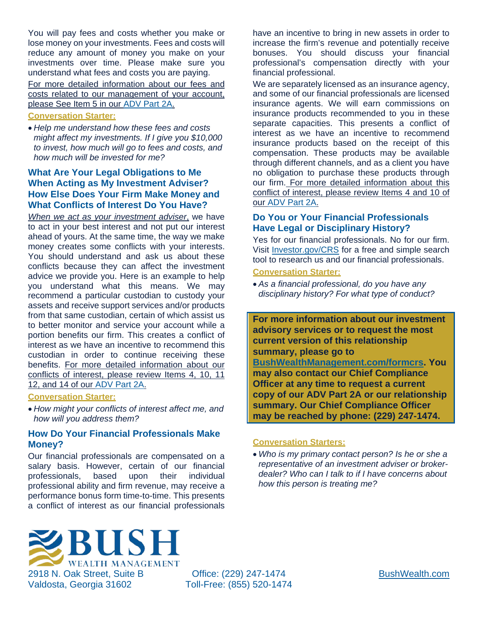You will pay fees and costs whether you make or lose money on your investments. Fees and costs will reduce any amount of money you make on your investments over time. Please make sure you understand what fees and costs you are paying.

For more detailed information about our fees and costs related to our management of your account, please See Item 5 in our [ADV Part 2A.](https://files.adviserinfo.sec.gov/IAPD/Content/Common/crd_iapd_Brochure.aspx?BRCHR_VRSN_ID=621865)

#### **Conversation Starter:**

• *Help me understand how these fees and costs might affect my investments. If I give you \$10,000 to invest, how much will go to fees and costs, and how much will be invested for me?*

## **What Are Your Legal Obligations to Me When Acting as My Investment Adviser? How Else Does Your Firm Make Money and What Conflicts of Interest Do You Have?**

*When we act as your investment adviser*, we have to act in your best interest and not put our interest ahead of yours. At the same time, the way we make money creates some conflicts with your interests. You should understand and ask us about these conflicts because they can affect the investment advice we provide you. Here is an example to help you understand what this means. We may recommend a particular custodian to custody your assets and receive support services and/or products from that same custodian, certain of which assist us to better monitor and service your account while a portion benefits our firm. This creates a conflict of interest as we have an incentive to recommend this custodian in order to continue receiving these benefits. For more detailed information about our conflicts of interest, please review Items 4, 10, 11 12, and 14 of our [ADV Part 2A.](https://files.adviserinfo.sec.gov/IAPD/Content/Common/crd_iapd_Brochure.aspx?BRCHR_VRSN_ID=621865)

#### **Conversation Starter:**

• *How might your conflicts of interest affect me, and how will you address them?*

## **How Do Your Financial Professionals Make Money?**

Our financial professionals are compensated on a salary basis. However, certain of our financial professionals, based upon their individual professional ability and firm revenue, may receive a performance bonus form time-to-time. This presents a conflict of interest as our financial professionals

have an incentive to bring in new assets in order to increase the firm's revenue and potentially receive bonuses. You should discuss your financial professional's compensation directly with your financial professional.

We are separately licensed as an insurance agency, and some of our financial professionals are licensed insurance agents. We will earn commissions on insurance products recommended to you in these separate capacities. This presents a conflict of interest as we have an incentive to recommend insurance products based on the receipt of this compensation. These products may be available through different channels, and as a client you have no obligation to purchase these products through our firm. For more detailed information about this conflict of interest, please review Items 4 and 10 of our [ADV Part 2A.](https://files.adviserinfo.sec.gov/IAPD/Content/Common/crd_iapd_Brochure.aspx?BRCHR_VRSN_ID=621865)

# **Do You or Your Financial Professionals Have Legal or Disciplinary History?**

Yes for our financial professionals. No for our firm. Visit [Investor.gov/CRS](https://www.investor.gov/CRS) for a free and simple search tool to research us and our financial professionals.

## **Conversation Starter:**

• *As a financial professional, do you have any disciplinary history? For what type of conduct?*

**For more information about our investment advisory services or to request the most current version of this relationship summary, please go to [BushWealthManagement.com/formcrs.](https://www.bushwealthmanagement.com/formcrs) You may also contact our Chief Compliance Officer at any time to request a current copy of our ADV Part 2A or our relationship summary. Our Chief Compliance Officer may be reached by phone: (229) 247-1474.**

#### **Conversation Starters:**

• *Who is my primary contact person? Is he or she a representative of an investment adviser or brokerdealer? Who can I talk to if I have concerns about how this person is treating me?*